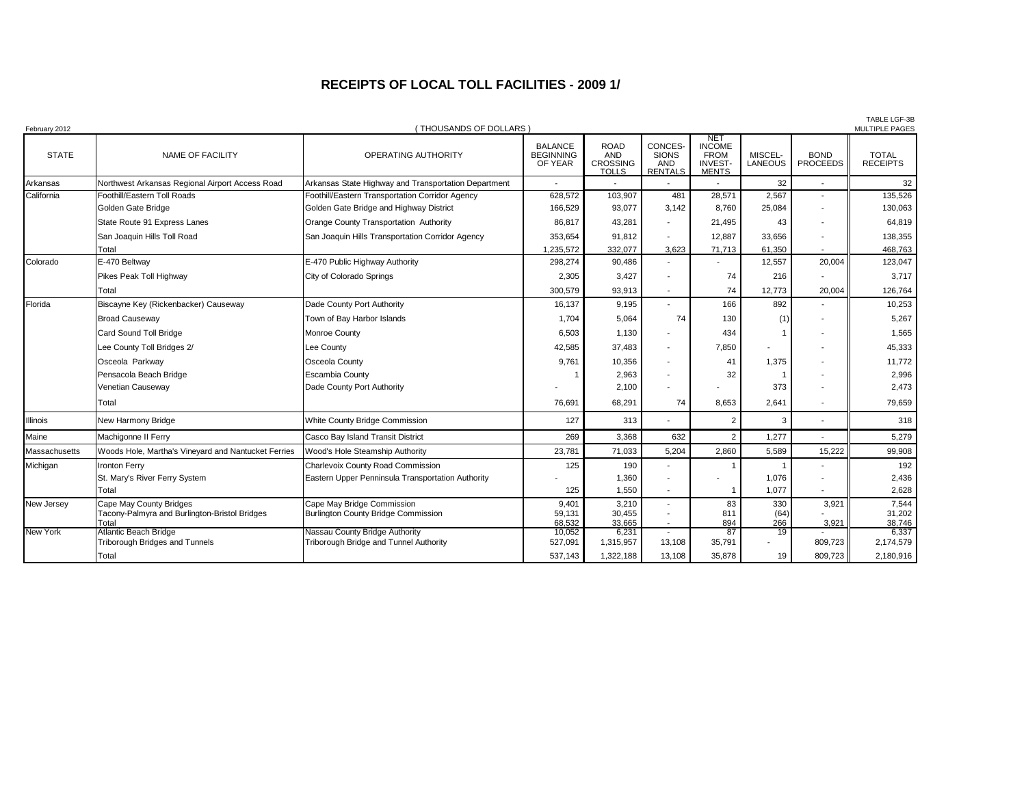## **RECEIPTS OF LOCAL TOLL FACILITIES - 2009 1/**

| February 2012   |                                                                                   | (THOUSANDS OF DOLLARS)                                                   |                                               |                                                              |                                                         |                                                                              |                           |                                | <b>TABLE LGF-3B</b><br>MULTIPLE PAGES |
|-----------------|-----------------------------------------------------------------------------------|--------------------------------------------------------------------------|-----------------------------------------------|--------------------------------------------------------------|---------------------------------------------------------|------------------------------------------------------------------------------|---------------------------|--------------------------------|---------------------------------------|
| <b>STATE</b>    | NAME OF FACILITY                                                                  | OPERATING AUTHORITY                                                      | <b>BALANCE</b><br><b>BEGINNING</b><br>OF YEAR | <b>ROAD</b><br><b>AND</b><br><b>CROSSING</b><br><b>TOLLS</b> | CONCES-<br><b>SIONS</b><br><b>AND</b><br><b>RENTALS</b> | <b>NET</b><br><b>INCOME</b><br><b>FROM</b><br><b>INVEST-</b><br><b>MENTS</b> | MISCEL-<br><b>LANEOUS</b> | <b>BOND</b><br><b>PROCEEDS</b> | <b>TOTAL</b><br><b>RECEIPTS</b>       |
| Arkansas        | Northwest Arkansas Regional Airport Access Road                                   | Arkansas State Highway and Transportation Department                     |                                               |                                                              |                                                         |                                                                              | 32                        |                                | 32                                    |
| California      | Foothill/Eastern Toll Roads                                                       | Foothill/Eastern Transportation Corridor Agency                          | 628,572                                       | 103,907                                                      | 481                                                     | 28,571                                                                       | 2,567                     |                                | 135,526                               |
|                 | Golden Gate Bridge                                                                | Golden Gate Bridge and Highway District                                  | 166,529                                       | 93,077                                                       | 3,142                                                   | 8,760                                                                        | 25,084                    |                                | 130,063                               |
|                 | State Route 91 Express Lanes                                                      | Orange County Transportation Authority                                   | 86,817                                        | 43,281                                                       |                                                         | 21,495                                                                       | 43                        |                                | 64,819                                |
|                 | San Joaquin Hills Toll Road                                                       | San Joaquin Hills Transportation Corridor Agency                         | 353,654                                       | 91,812                                                       | ä,                                                      | 12,887                                                                       | 33,656                    |                                | 138,355                               |
|                 | Total                                                                             |                                                                          | 1,235,572                                     | 332,077                                                      | 3.623                                                   | 71,713                                                                       | 61,350                    |                                | 468,763                               |
| Colorado        | E-470 Beltway                                                                     | E-470 Public Highway Authority                                           | 298,274                                       | 90,486                                                       |                                                         |                                                                              | 12,557                    | 20,004                         | 123,047                               |
|                 | Pikes Peak Toll Highway                                                           | City of Colorado Springs                                                 | 2,305                                         | 3,427                                                        |                                                         | 74                                                                           | 216                       |                                | 3,717                                 |
|                 | Total                                                                             |                                                                          | 300,579                                       | 93,913                                                       |                                                         | 74                                                                           | 12.773                    | 20,004                         | 126,764                               |
| Florida         | Biscayne Key (Rickenbacker) Causeway                                              | Dade County Port Authority                                               | 16,137                                        | 9,195                                                        |                                                         | 166                                                                          | 892                       |                                | 10,253                                |
|                 | <b>Broad Causeway</b>                                                             | Town of Bay Harbor Islands                                               | 1,704                                         | 5,064                                                        | 74                                                      | 130                                                                          | (1)                       |                                | 5,267                                 |
|                 | Card Sound Toll Bridge                                                            | Monroe County                                                            | 6,503                                         | 1,130                                                        | ٠                                                       | 434                                                                          |                           |                                | 1,565                                 |
|                 | Lee County Toll Bridges 2/                                                        | Lee County                                                               | 42,585                                        | 37,483                                                       |                                                         | 7,850                                                                        |                           |                                | 45,333                                |
|                 | Osceola Parkway                                                                   | Osceola County                                                           | 9.761                                         | 10,356                                                       | $\blacksquare$                                          | 41                                                                           | 1,375                     |                                | 11,772                                |
|                 | Pensacola Beach Bridge                                                            | <b>Escambia County</b>                                                   |                                               | 2,963                                                        | $\blacksquare$                                          | 32                                                                           |                           |                                | 2,996                                 |
|                 | Venetian Causeway                                                                 | Dade County Port Authority                                               |                                               | 2,100                                                        | ٠                                                       |                                                                              | 373                       |                                | 2,473                                 |
|                 | Total                                                                             |                                                                          | 76,691                                        | 68,291                                                       | 74                                                      | 8.653                                                                        | 2,641                     |                                | 79,659                                |
| <b>Illinois</b> | New Harmony Bridge                                                                | White County Bridge Commission                                           | 127                                           | 313                                                          |                                                         | $\overline{2}$                                                               | 3                         |                                | 318                                   |
| Maine           | Machigonne II Ferry                                                               | Casco Bay Island Transit District                                        | 269                                           | 3,368                                                        | 632                                                     | $\overline{2}$                                                               | 1,277                     |                                | 5,279                                 |
| Massachusetts   | Woods Hole, Martha's Vineyard and Nantucket Ferries                               | Wood's Hole Steamship Authority                                          | 23,781                                        | 71,033                                                       | 5,204                                                   | 2,860                                                                        | 5,589                     | 15,222                         | 99,908                                |
| Michigan        | <b>Ironton Ferry</b>                                                              | Charlevoix County Road Commission                                        | 125                                           | 190                                                          |                                                         |                                                                              |                           |                                | 192                                   |
|                 | St. Mary's River Ferry System                                                     | Eastern Upper Penninsula Transportation Authority                        |                                               | 1,360                                                        |                                                         |                                                                              | 1,076                     |                                | 2,436                                 |
|                 | Total                                                                             |                                                                          | 125                                           | 1,550                                                        |                                                         |                                                                              | 1,077                     |                                | 2,628                                 |
| New Jersey      | Cape May County Bridges<br>Tacony-Palmyra and Burlington-Bristol Bridges<br>Total | Cape May Bridge Commission<br><b>Burlington County Bridge Commission</b> | 9,401<br>59,131<br>68,532                     | 3,210<br>30.455<br>33,665                                    | $\blacksquare$                                          | 83<br>811<br>894                                                             | 330<br>(64)<br>266        | 3,921<br>3,921                 | 7,544<br>31,202<br>38,746             |
| New York        | Atlantic Beach Bridge                                                             | Nassau County Bridge Authority                                           | 10,052                                        | 6,231                                                        |                                                         | 87                                                                           | 19                        |                                | 6,337                                 |
|                 | <b>Triborough Bridges and Tunnels</b>                                             | Triborough Bridge and Tunnel Authority                                   | 527,091                                       | 1,315,957                                                    | 13,108                                                  | 35,791                                                                       |                           | 809,723                        | 2,174,579                             |
|                 | Total                                                                             |                                                                          | 537.143                                       | 1,322,188                                                    | 13,108                                                  | 35.878                                                                       | 19                        | 809.723                        | 2,180,916                             |